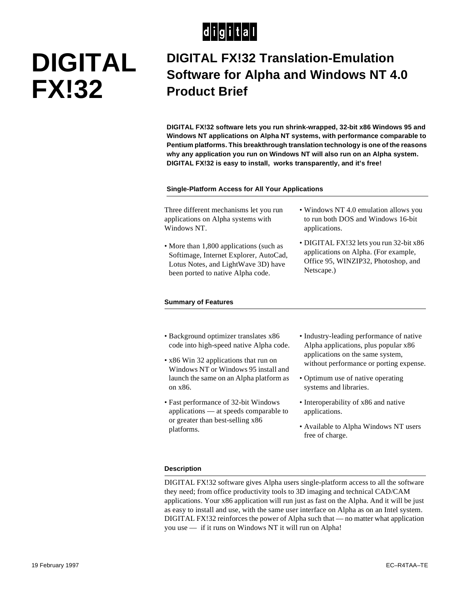## $d$  $i$  $g$  $i$  $t$  $a$  $l$

# **DIGITAL FX!32**

### **DIGITAL FX!32 Translation-Emulation Software for Alpha and Windows NT 4.0 Product Brief**

**DIGITAL FX!32 software lets you run shrink-wrapped, 32-bit x86 Windows 95 and Windows NT applications on Alpha NT systems, with performance comparable to Pentium platforms. This breakthrough translation technology is one of the reasons why any application you run on Windows NT will also run on an Alpha system. DIGITAL FX!32 is easy to install, works transparently, and it's free!**

#### **Single-Platform Access for All Your Applications**

Three different mechanisms let you run applications on Alpha systems with Windows NT.

- More than 1,800 applications (such as Softimage, Internet Explorer, AutoCad, Lotus Notes, and LightWave 3D) have been ported to native Alpha code.
- Windows NT 4.0 emulation allows you to run both DOS and Windows 16-bit applications.
- DIGITAL FX!32 lets you run 32-bit x86 applications on Alpha. (For example, Office 95, WINZIP32, Photoshop, and Netscape.)

#### **Summary of Features**

- Background optimizer translates x86 code into high-speed native Alpha code.
- x86 Win 32 applications that run on Windows NT or Windows 95 install and launch the same on an Alpha platform as on x86.
- Fast performance of 32-bit Windows applications — at speeds comparable to or greater than best-selling x86 platforms.
- Industry-leading performance of native Alpha applications, plus popular x86 applications on the same system, without performance or porting expense.
- Optimum use of native operating systems and libraries.
- Interoperability of x86 and native applications.
- Available to Alpha Windows NT users free of charge.

#### **Description**

DIGITAL FX!32 software gives Alpha users single-platform access to all the software they need; from office productivity tools to 3D imaging and technical CAD/CAM applications. Your x86 application will run just as fast on the Alpha. And it will be just as easy to install and use, with the same user interface on Alpha as on an Intel system. DIGITAL FX!32 reinforces the power of Alpha such that — no matter what application you use — if it runs on Windows NT it will run on Alpha!